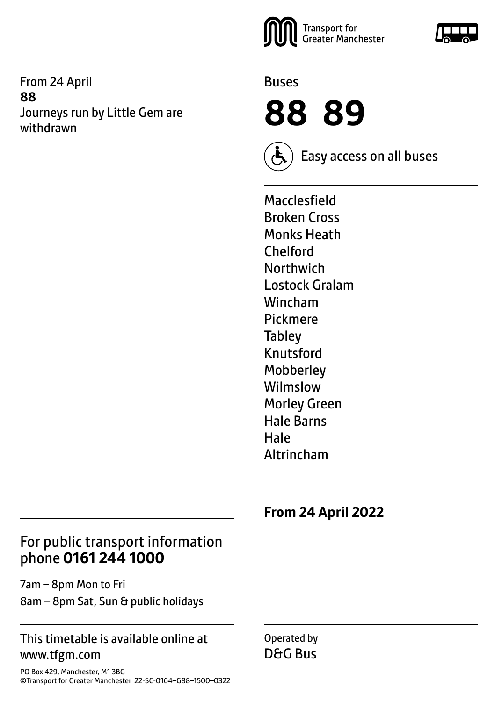From 24 April **88** Journeys run by Little Gem are withdrawn





**88 89**



Easy access on all buses

Macclesfield Broken Cross Monks Heath Chelford **Northwich** Lostock Gralam Wincham Pickmere **Tabley** Knutsford **Mobberley** Wilmslow Morley Green Hale Barns Hale Altrincham

**From 24 April 2022**

## For public transport information phone **0161 244 1000**

7am – 8pm Mon to Fri 8am – 8pm Sat, Sun & public holidays

#### This timetable is available online at www.tfgm.com

Operated by D&G Bus

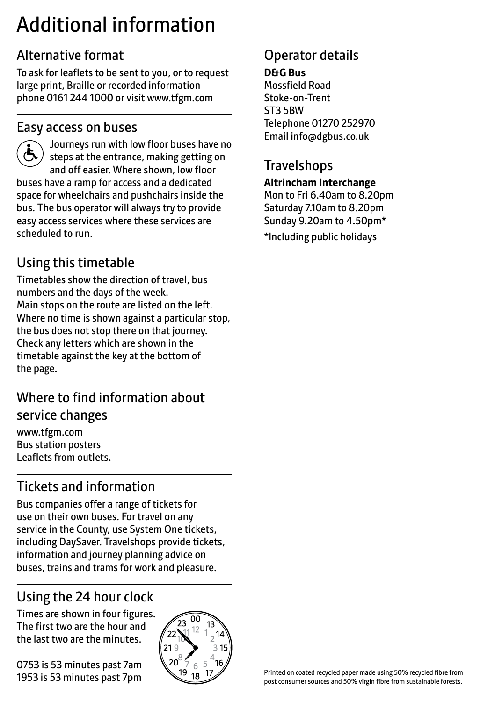## Additional information

## Alternative format

To ask for leaflets to be sent to you, or to request large print, Braille or recorded information phone 0161 244 1000 or visit www.tfgm.com

### Easy access on buses



 Journeys run with low floor buses have no steps at the entrance, making getting on and off easier. Where shown, low floor buses have a ramp for access and a dedicated space for wheelchairs and pushchairs inside the bus. The bus operator will always try to provide easy access services where these services are scheduled to run.

## Using this timetable

Timetables show the direction of travel, bus numbers and the days of the week. Main stops on the route are listed on the left. Where no time is shown against a particular stop, the bus does not stop there on that journey. Check any letters which are shown in the timetable against the key at the bottom of the page.

## Where to find information about service changes

www.tfgm.com Bus station posters Leaflets from outlets.

## Tickets and information

Bus companies offer a range of tickets for use on their own buses. For travel on any service in the County, use System One tickets, including DaySaver. Travelshops provide tickets, information and journey planning advice on buses, trains and trams for work and pleasure.

## Using the 24 hour clock

Times are shown in four figures. The first two are the hour and the last two are the minutes.

0753 is 53 minutes past 7am 1953 is 53 minutes past 7pm



## Operator details

**D&G Bus** Mossfield Road Stoke-on-Trent ST3 5BW Telephone 01270 252970 Email info@dgbus.co.uk

## **Travelshops**

#### **Altrincham Interchange**

Mon to Fri 6.40am to 8.20pm Saturday 7.10am to 8.20pm Sunday 9.20am to 4.50pm\* \*Including public holidays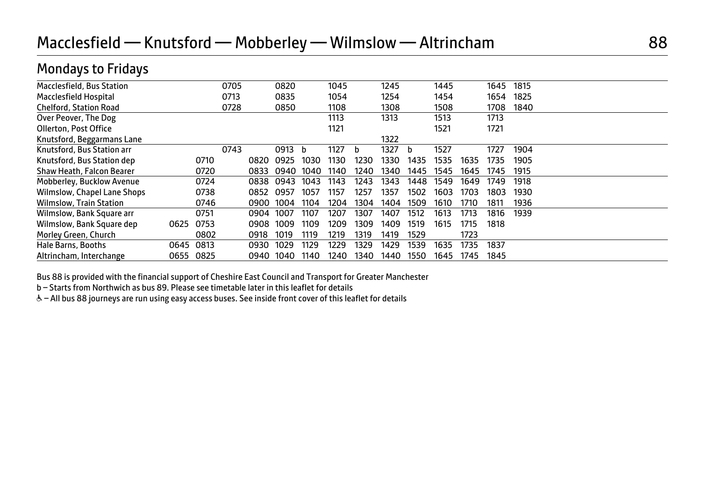## Macclesfield — Knutsford — Mobberley — Wilmslow — Altrincham 88

## Mondays to Fridays

| Macclesfield, Bus Station      |      |      | 0705 |      | 0820   |      | 1045 |      | 1245 |      | 1445 |      | 1645 | 1815 |  |  |
|--------------------------------|------|------|------|------|--------|------|------|------|------|------|------|------|------|------|--|--|
| Macclesfield Hospital          |      |      | 0713 |      | 0835   |      | 1054 |      | 1254 |      | 1454 |      | 1654 | 1825 |  |  |
| <b>Chelford, Station Road</b>  |      |      | 0728 |      | 0850   |      | 1108 |      | 1308 |      | 1508 |      | 1708 | 1840 |  |  |
| Over Peover, The Dog           |      |      |      |      |        |      | 1113 |      | 1313 |      | 1513 |      | 1713 |      |  |  |
| Ollerton, Post Office          |      |      |      |      |        |      | 1121 |      |      |      | 1521 |      | 1721 |      |  |  |
| Knutsford, Beggarmans Lane     |      |      |      |      |        |      |      |      | 1322 |      |      |      |      |      |  |  |
| Knutsford, Bus Station arr     |      |      | 0743 |      | 0913 b |      | 1127 | h    | 1327 | b    | 1527 |      | 1727 | 1904 |  |  |
| Knutsford, Bus Station dep     |      | 0710 |      | 0820 | 0925   | 1030 | 1130 | 1230 | 1330 | 1435 | 1535 | 1635 | 1735 | 1905 |  |  |
| Shaw Heath, Falcon Bearer      |      | 0720 |      | 0833 | 0940   | 1040 | 1140 | 1240 | 1340 | 1445 | 1545 | 1645 | 1745 | 1915 |  |  |
| Mobberley, Bucklow Avenue      |      | 0724 |      | 0838 | 0943   | 1043 | 1143 | 1243 | 1343 | 1448 | 1549 | 1649 | 1749 | 1918 |  |  |
| Wilmslow, Chapel Lane Shops    |      | 0738 |      | 0852 | 0957   | 1057 | 1157 | 1257 | 1357 | 1502 | 1603 | 1703 | 1803 | 1930 |  |  |
| <b>Wilmslow, Train Station</b> |      | 0746 |      | 0900 | 1004   | 1104 | 1204 | 1304 | 1404 | 1509 | 1610 | 1710 | 1811 | 1936 |  |  |
| Wilmslow, Bank Square arr      |      | 0751 |      | 0904 | 1007   | 1107 | 1207 | 1307 | 1407 | 1512 | 1613 | 1713 | 1816 | 1939 |  |  |
| Wilmslow, Bank Square dep      | 0625 | 0753 |      | 0908 | 1009   | 1109 | 1209 | 1309 | 1409 | 1519 | 1615 | 1715 | 1818 |      |  |  |
| Morley Green, Church           |      | 0802 |      | 0918 | 1019   | 1119 | 1219 | 1319 | 1419 | 1529 |      | 1723 |      |      |  |  |
| Hale Barns, Booths             | 0645 | 0813 |      | 0930 | 1029   | 1129 | 1229 | 1329 | 1429 | 1539 | 1635 | 1735 | 1837 |      |  |  |
| Altrincham, Interchange        | 0655 | 0825 |      | 0940 | 1040   | 1140 | 1240 | 1340 | 1440 | 1550 | 1645 | 1745 | 1845 |      |  |  |
|                                |      |      |      |      |        |      |      |      |      |      |      |      |      |      |  |  |

Bus 88 is provided with the financial support of Cheshire East Council and Transport for Greater Manchester

b – Starts from Northwich as bus 89. Please see timetable later in this leaflet for details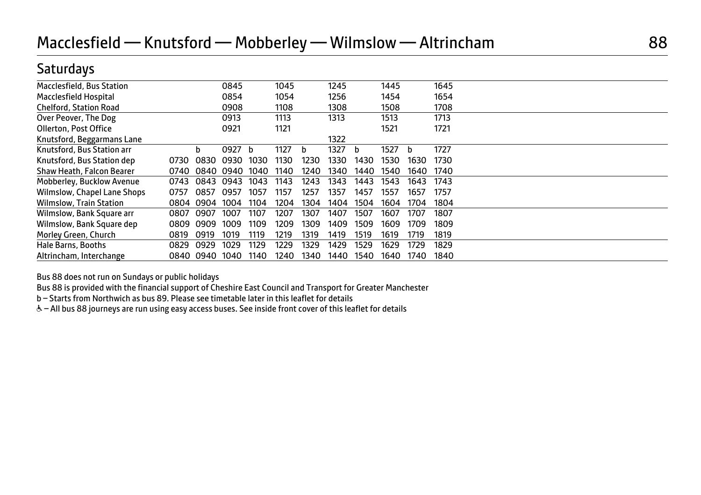## **Saturdays**

| <b>Macclesfield, Bus Station</b> |      |           | 0845 |      | 1045 |      | 1245 |      | 1445 |      | 1645 |  |
|----------------------------------|------|-----------|------|------|------|------|------|------|------|------|------|--|
| Macclesfield Hospital            |      |           | 0854 |      | 1054 |      | 1256 |      | 1454 |      | 1654 |  |
| <b>Chelford, Station Road</b>    |      |           | 0908 |      | 1108 |      | 1308 |      | 1508 |      | 1708 |  |
| Over Peover, The Dog             |      |           | 0913 |      | 1113 |      | 1313 |      | 1513 |      | 1713 |  |
| Ollerton, Post Office            |      |           | 0921 |      | 1121 |      |      |      | 1521 |      | 1721 |  |
| Knutsford, Beggarmans Lane       |      |           |      |      |      |      | 1322 |      |      |      |      |  |
| Knutsford, Bus Station arr       |      | b         | 0927 | b    | 1127 | b    | 1327 | b    | 1527 | b    | 1727 |  |
| Knutsford, Bus Station dep       | 0730 | 0830      | 0930 | 1030 | 1130 | 1230 | 1330 | 1430 | 1530 | 1630 | 1730 |  |
| Shaw Heath, Falcon Bearer        | 0740 | 0840      | 0940 | 1040 | 1140 | 1240 | 1340 | 1440 | 1540 | 1640 | 1740 |  |
| Mobberley, Bucklow Avenue        | 0743 | 0843      | 0943 | 1043 | 1143 | 1243 | 1343 | 1443 | 1543 | 1643 | 1743 |  |
| Wilmslow, Chapel Lane Shops      | 0757 | 0857      | 0957 | 1057 | 1157 | 1257 | 1357 | 1457 | 1557 | 1657 | 1757 |  |
| <b>Wilmslow, Train Station</b>   | 0804 | 0904      | 1004 | 1104 | 1204 | 1304 | 1404 | 1504 | 1604 | 1704 | 1804 |  |
| Wilmslow, Bank Square arr        | 0807 | 0907      | 1007 | 1107 | 1207 | 1307 | 1407 | 1507 | 1607 | 1707 | 1807 |  |
| Wilmslow, Bank Square dep        | 0809 | 0909      | 1009 | 1109 | 1209 | 1309 | 1409 | 1509 | 1609 | 1709 | 1809 |  |
| Morley Green, Church             | 0819 | 0919      | 1019 | 1119 | 1219 | 1319 | 1419 | 1519 | 1619 | 1719 | 1819 |  |
| Hale Barns, Booths               | 0829 | 0929      | 1029 | 1129 | 1229 | 1329 | 1429 | 1529 | 1629 | 1729 | 1829 |  |
| Altrincham, Interchange          |      | 0840 0940 | 1040 | 1140 | 1240 | 1340 | 1440 | 1540 | 1640 | 1740 | 1840 |  |

Bus 88 does not run on Sundays or public holidays

Bus 88 is provided with the financial support of Cheshire East Council and Transport for Greater Manchester

b – Starts from Northwich as bus 89. Please see timetable later in this leaflet for details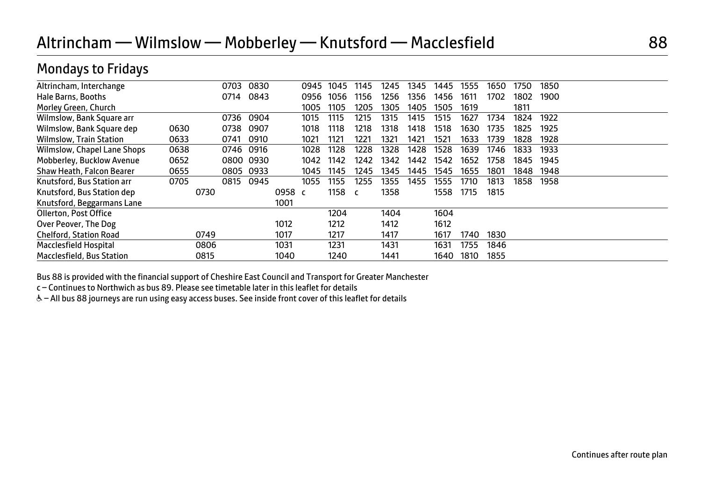## Altrincham — Wilmslow — Mobberley — Knutsford — Macclesfield 88

## Mondays to Fridays

| Altrincham, Interchange        |      |      | 0703 | 0830 |        | 0945 | 1045 | 1145 | 1245 | 1345 | 1445 | 1555 | 1650 | 1750 | 1850 |  |
|--------------------------------|------|------|------|------|--------|------|------|------|------|------|------|------|------|------|------|--|
| Hale Barns, Booths             |      |      | 0714 | 0843 |        | 0956 | 1056 | 1156 | 1256 | 1356 | 1456 | 1611 | 1702 | 1802 | 1900 |  |
| Morley Green, Church           |      |      |      |      |        | 1005 | 1105 | 1205 | 1305 | 1405 | 1505 | 1619 |      | 1811 |      |  |
| Wilmslow, Bank Square arr      |      |      | 0736 | 0904 |        | 1015 | 1115 | 1215 | 1315 | 1415 | 1515 | 1627 | 1734 | 1824 | 1922 |  |
| Wilmslow, Bank Square dep      | 0630 |      | 0738 | 0907 |        | 1018 | 1118 | 1218 | 1318 | 1418 | 1518 | 1630 | 1735 | 1825 | 1925 |  |
| <b>Wilmslow, Train Station</b> | 0633 |      | 0741 | 0910 |        | 1021 | 1121 | 1221 | 1321 | 1421 | 1521 | 1633 | 1739 | 1828 | 1928 |  |
| Wilmslow, Chapel Lane Shops    | 0638 |      | 0746 | 0916 |        | 1028 | 1128 | 1228 | 1328 | 1428 | 1528 | 1639 | 1746 | 1833 | 1933 |  |
| Mobberley, Bucklow Avenue      | 0652 |      | 0800 | 0930 |        | 1042 | 1142 | 1242 | 1342 | 1442 | 1542 | 1652 | 1758 | 1845 | 1945 |  |
| Shaw Heath, Falcon Bearer      | 0655 |      | 0805 | 0933 |        | 1045 | 1145 | 1245 | 1345 | 1445 | 1545 | 1655 | 1801 | 1848 | 1948 |  |
| Knutsford, Bus Station arr     | 0705 |      | 0815 | 0945 |        | 1055 | 1155 | 1255 | 1355 | 1455 | 1555 | 1710 | 1813 | 1858 | 1958 |  |
| Knutsford, Bus Station dep     |      | 0730 |      |      | 0958 c |      | 1158 |      | 1358 |      | 1558 | 1715 | 1815 |      |      |  |
| Knutsford, Beggarmans Lane     |      |      |      |      | 1001   |      |      |      |      |      |      |      |      |      |      |  |
| Ollerton, Post Office          |      |      |      |      |        |      | 1204 |      | 1404 |      | 1604 |      |      |      |      |  |
| Over Peover, The Dog           |      |      |      |      | 1012   |      | 1212 |      | 1412 |      | 1612 |      |      |      |      |  |
| <b>Chelford, Station Road</b>  |      | 0749 |      |      | 1017   |      | 1217 |      | 1417 |      | 1617 | 1740 | 1830 |      |      |  |
| Macclesfield Hospital          |      | 0806 |      |      | 1031   |      | 1231 |      | 1431 |      | 1631 | 1755 | 1846 |      |      |  |
| Macclesfield, Bus Station      |      | 0815 |      |      | 1040   |      | 1240 |      | 1441 |      | 1640 | 1810 | 1855 |      |      |  |

Bus 88 is provided with the financial support of Cheshire East Council and Transport for Greater Manchester

c – Continues to Northwich as bus 89. Please see timetable later in this leaflet for details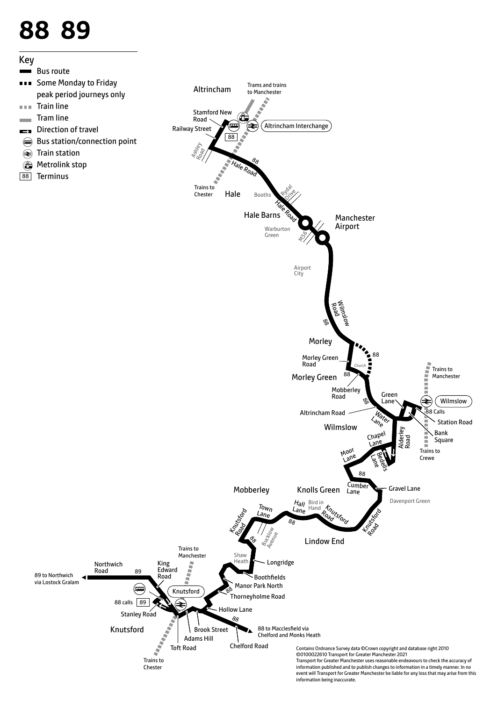# **88 89**



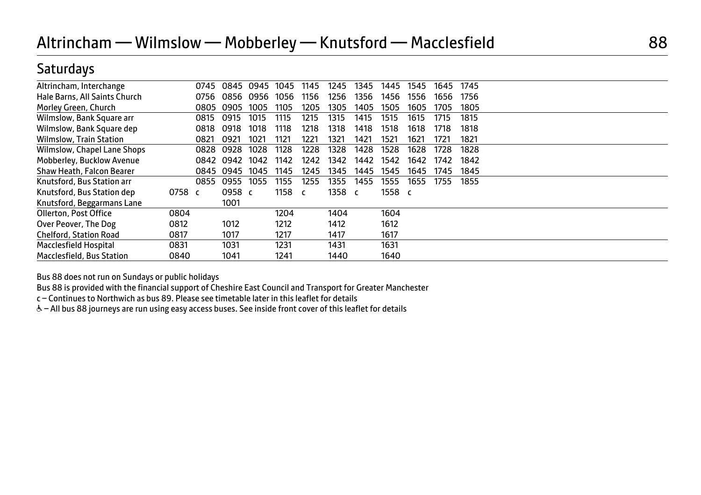## **Saturdays**

| Altrincham, Interchange        |        | 0745 | 0845      | 0945 | 1045   | 1145 | 1245 | 1345 | 1445   | 1545 | 1645 | 1745 |  |
|--------------------------------|--------|------|-----------|------|--------|------|------|------|--------|------|------|------|--|
| Hale Barns, All Saints Church  |        | 0756 | 0856      | 0956 | 1056   | 1156 | 1256 | 1356 | 1456   | 1556 | 1656 | 1756 |  |
| Morley Green, Church           |        | 0805 | 0905      | 1005 | 1105   | 1205 | 1305 | 1405 | 1505   | 1605 | 1705 | 1805 |  |
| Wilmslow, Bank Square arr      |        | 0815 | 0915      | 1015 | 1115   | 1215 | 1315 | 1415 | 1515   | 1615 | 1715 | 1815 |  |
| Wilmslow, Bank Square dep      |        | 0818 | 0918      | 1018 | 1118   | 1218 | 1318 | 1418 | 1518   | 1618 | 1718 | 1818 |  |
| <b>Wilmslow, Train Station</b> |        | 0821 | 0921      | 1021 | 1121   | 1221 | 1321 | 1421 | 1521   | 1621 | 1721 | 1821 |  |
| Wilmslow, Chapel Lane Shops    |        | 0828 | 0928      | 1028 | 1128   | 1228 | 1328 | 1428 | 1528   | 1628 | 1728 | 1828 |  |
| Mobberley, Bucklow Avenue      |        | 0842 | 0942      | 1042 | 1142   | 1242 | 1342 | 1442 | 1542   | 1642 | 1742 | 1842 |  |
| Shaw Heath, Falcon Bearer      |        |      | 0845 0945 | 1045 | 1145   | 1245 | 1345 | 1445 | 1545   | 1645 | 1745 | 1845 |  |
| Knutsford, Bus Station arr     |        | 0855 | 0955      | 1055 | 1155   | 1255 | 1355 | 1455 | 1555   | 1655 | 1755 | 1855 |  |
| Knutsford, Bus Station dep     | 0758 c |      | 0958 c    |      | 1158 c |      | 1358 |      | 1558 c |      |      |      |  |
| Knutsford, Beggarmans Lane     |        |      | 1001      |      |        |      |      |      |        |      |      |      |  |
| Ollerton, Post Office          | 0804   |      |           |      | 1204   |      | 1404 |      | 1604   |      |      |      |  |
| Over Peover, The Dog           | 0812   |      | 1012      |      | 1212   |      | 1412 |      | 1612   |      |      |      |  |
| <b>Chelford, Station Road</b>  | 0817   |      | 1017      |      | 1217   |      | 1417 |      | 1617   |      |      |      |  |
| Macclesfield Hospital          | 0831   |      | 1031      |      | 1231   |      | 1431 |      | 1631   |      |      |      |  |
| Macclesfield, Bus Station      | 0840   |      | 1041      |      | 1241   |      | 1440 |      | 1640   |      |      |      |  |

Bus 88 does not run on Sundays or public holidays

Bus 88 is provided with the financial support of Cheshire East Council and Transport for Greater Manchester

c – Continues to Northwich as bus 89. Please see timetable later in this leaflet for details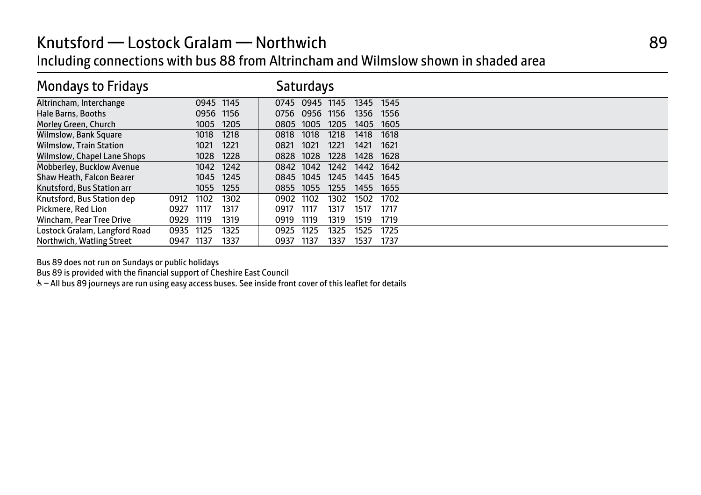## Knutsford — Lostock Gralam — Northwich **89** and 89 Including connections with bus 88 from Altrincham and Wilmslow shown in shaded area

| <b>Mondays to Fridays</b>      |      |      |           |           | Saturdays |      |           |      |  |
|--------------------------------|------|------|-----------|-----------|-----------|------|-----------|------|--|
| Altrincham, Interchange        |      |      | 0945 1145 | 0745      | 0945      | 1145 | 1345      | 1545 |  |
| Hale Barns, Booths             |      |      | 0956 1156 | 0756      | 0956      | 1156 | 1356      | 1556 |  |
| Morley Green, Church           |      | 1005 | 1205      | 0805      | 1005      | 1205 | 1405      | 1605 |  |
| <b>Wilmslow, Bank Square</b>   |      | 1018 | 1218      | 0818      | 1018      | 1218 | 1418      | 1618 |  |
| <b>Wilmslow, Train Station</b> |      | 1021 | 1221      | 0821      | 1021      | 1221 | 1421      | 1621 |  |
| Wilmslow, Chapel Lane Shops    |      | 1028 | 1228      | 0828      | 1028      | 1228 | 1428      | 1628 |  |
| Mobberley, Bucklow Avenue      |      | 1042 | 1242      | 0842 1042 |           | 1242 | 1442 1642 |      |  |
| Shaw Heath, Falcon Bearer      |      | 1045 | 1245      | 0845      | 1045      | 1245 | 1445 1645 |      |  |
| Knutsford, Bus Station arr     |      | 1055 | 1255      | 0855      | 1055      | 1255 | 1455      | 1655 |  |
| Knutsford, Bus Station dep     | 0912 | 1102 | 1302      | 0902      | 1102      | 1302 | 1502      | 1702 |  |
| Pickmere, Red Lion             | 0927 | 1117 | 1317      | 0917      | 1117      | 1317 | 1517      | 1717 |  |
| Wincham, Pear Tree Drive       | 0929 | 1119 | 1319      | 0919      | 1119      | 1319 | 1519      | 1719 |  |
| Lostock Gralam, Langford Road  | 0935 | 1125 | 1325      | 0925      | 1125      | 1325 | 1525      | 1725 |  |
| Northwich, Watling Street      | 0947 | 1137 | 1337      | 0937      | 1137      | 1337 | 1537      | 1737 |  |

Bus 89 does not run on Sundays or public holidays

Bus 89 is provided with the financial support of Cheshire East Council